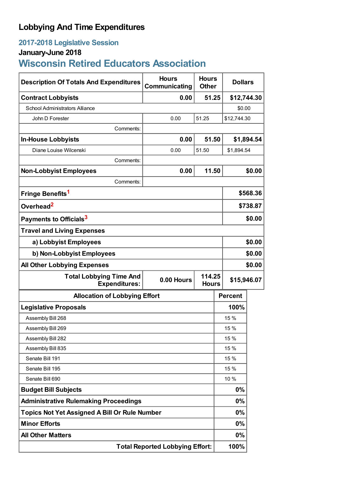## **Lobbying And Time Expenditures**

### **2017-2018 Legislative Session**

# **January-June 2018**

# **Wisconsin Retired Educators Association**

| <b>Description Of Totals And Expenditures</b>          | <b>Hours</b><br>Communicating | <b>Hours</b><br><b>Dollars</b><br><b>Other</b> |                |            |  |
|--------------------------------------------------------|-------------------------------|------------------------------------------------|----------------|------------|--|
| <b>Contract Lobbyists</b>                              | 51.25<br>0.00                 |                                                | \$12,744.30    |            |  |
| <b>School Administrators Alliance</b>                  |                               |                                                | \$0.00         |            |  |
| John D Forester                                        | 0.00                          | 51.25                                          | \$12,744.30    |            |  |
| Comments:                                              |                               |                                                |                |            |  |
| <b>In-House Lobbyists</b>                              | 0.00                          | 51.50                                          |                | \$1,894.54 |  |
| Diane Louise Wilcenski                                 | 0.00                          | 51.50<br>\$1,894.54                            |                |            |  |
| Comments:                                              |                               |                                                |                |            |  |
| <b>Non-Lobbyist Employees</b>                          | 0.00                          | 11.50                                          |                | \$0.00     |  |
| Comments:                                              |                               |                                                |                |            |  |
| Fringe Benefits <sup>1</sup>                           |                               |                                                |                | \$568.36   |  |
| Overhead <sup>2</sup>                                  |                               |                                                |                | \$738.87   |  |
| Payments to Officials <sup>3</sup>                     |                               |                                                |                | \$0.00     |  |
| <b>Travel and Living Expenses</b>                      |                               |                                                |                |            |  |
| a) Lobbyist Employees                                  |                               |                                                | \$0.00         |            |  |
| b) Non-Lobbyist Employees                              |                               |                                                |                | \$0.00     |  |
| <b>All Other Lobbying Expenses</b>                     |                               |                                                |                | \$0.00     |  |
| <b>Total Lobbying Time And</b><br><b>Expenditures:</b> | 0.00 Hours                    | 114.25<br><b>Hours</b>                         | \$15,946.07    |            |  |
| <b>Allocation of Lobbying Effort</b>                   |                               |                                                | <b>Percent</b> |            |  |
| <b>Legislative Proposals</b>                           |                               |                                                | 100%           |            |  |
| Assembly Bill 268                                      |                               |                                                | 15 %           |            |  |
| Assembly Bill 269                                      |                               |                                                | 15 %           |            |  |
| Assembly Bill 282                                      |                               |                                                | 15 %           |            |  |
| Assembly Bill 835                                      |                               |                                                | 15 %           |            |  |
| Senate Bill 191                                        |                               |                                                | 15 %           |            |  |
| Senate Bill 195                                        |                               |                                                | 15 %           |            |  |
| Senate Bill 690                                        |                               |                                                | 10 %           |            |  |
| <b>Budget Bill Subjects</b>                            |                               |                                                | 0%             |            |  |
| <b>Administrative Rulemaking Proceedings</b>           |                               |                                                | $0\%$          |            |  |
| <b>Topics Not Yet Assigned A Bill Or Rule Number</b>   |                               |                                                | 0%             |            |  |
| <b>Minor Efforts</b>                                   |                               |                                                | $0\%$          |            |  |
| <b>All Other Matters</b>                               |                               |                                                | $0\%$          |            |  |
| <b>Total Reported Lobbying Effort:</b>                 |                               |                                                | 100%           |            |  |